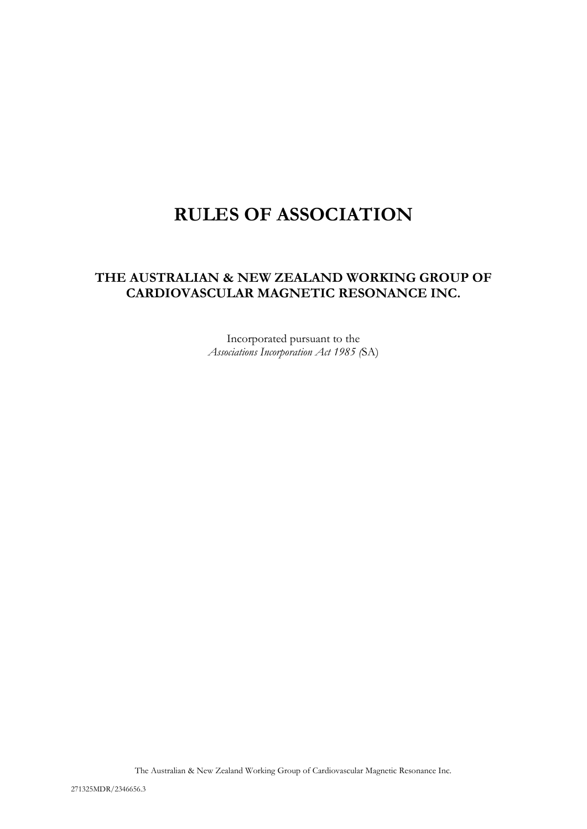# **RULES OF ASSOCIATION**

# **THE AUSTRALIAN & NEW ZEALAND WORKING GROUP OF CARDIOVASCULAR MAGNETIC RESONANCE INC.**

Incorporated pursuant to the *Associations Incorporation Act 1985 (*SA)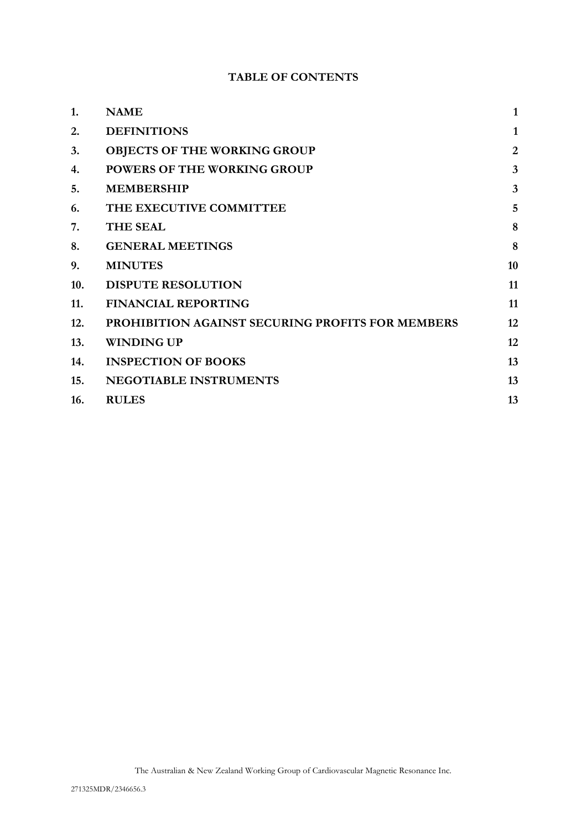# **TABLE OF CONTENTS**

| 1.  | <b>NAME</b>                                             | $\mathbf{1}$            |
|-----|---------------------------------------------------------|-------------------------|
| 2.  | <b>DEFINITIONS</b>                                      | $\mathbf{1}$            |
| 3.  | <b>OBJECTS OF THE WORKING GROUP</b>                     | $\overline{2}$          |
| 4.  | <b>POWERS OF THE WORKING GROUP</b>                      | $\overline{\mathbf{3}}$ |
| 5.  | <b>MEMBERSHIP</b>                                       | $\overline{3}$          |
| 6.  | THE EXECUTIVE COMMITTEE                                 | 5                       |
| 7.  | <b>THE SEAL</b>                                         | 8                       |
| 8.  | <b>GENERAL MEETINGS</b>                                 | 8                       |
| 9.  | <b>MINUTES</b>                                          | 10                      |
| 10. | <b>DISPUTE RESOLUTION</b>                               | 11                      |
| 11. | <b>FINANCIAL REPORTING</b>                              | 11                      |
| 12. | <b>PROHIBITION AGAINST SECURING PROFITS FOR MEMBERS</b> | 12                      |
| 13. | <b>WINDING UP</b>                                       | 12                      |
| 14. | <b>INSPECTION OF BOOKS</b>                              | 13                      |
| 15. | <b>NEGOTIABLE INSTRUMENTS</b>                           | 13                      |
| 16. | <b>RULES</b>                                            | 13                      |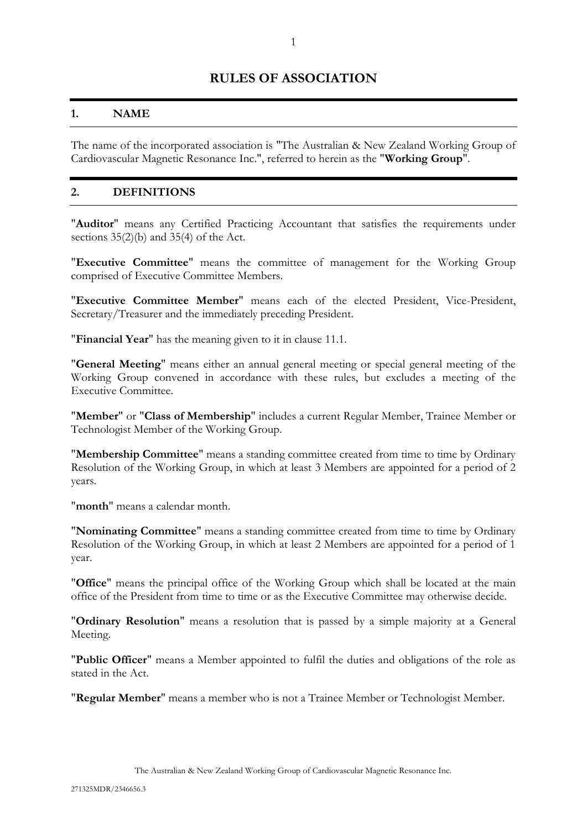# **RULES OF ASSOCIATION**

#### <span id="page-2-0"></span>**1. NAME**

The name of the incorporated association is "The Australian & New Zealand Working Group of Cardiovascular Magnetic Resonance Inc.", referred to herein as the "**Working Group**".

#### <span id="page-2-1"></span>**2. DEFINITIONS**

"**Auditor**" means any Certified Practicing Accountant that satisfies the requirements under sections 35(2)(b) and 35(4) of the Act.

"**Executive Committee**" means the committee of management for the Working Group comprised of Executive Committee Members.

"**Executive Committee Member**" means each of the elected President, Vice-President, Secretary/Treasurer and the immediately preceding President.

"**Financial Year**" has the meaning given to it in clause [11.1.](#page-12-2)

"**General Meeting**" means either an annual general meeting or special general meeting of the Working Group convened in accordance with these rules, but excludes a meeting of the Executive Committee.

"**Member**" or "**Class of Membership**" includes a current Regular Member, Trainee Member or Technologist Member of the Working Group.

"**Membership Committee**" means a standing committee created from time to time by Ordinary Resolution of the Working Group, in which at least 3 Members are appointed for a period of 2 years.

"**month**" means a calendar month.

"**Nominating Committee**" means a standing committee created from time to time by Ordinary Resolution of the Working Group, in which at least 2 Members are appointed for a period of 1 year.

"**Office**" means the principal office of the Working Group which shall be located at the main office of the President from time to time or as the Executive Committee may otherwise decide.

"**Ordinary Resolution**" means a resolution that is passed by a simple majority at a General Meeting.

"**Public Officer**" means a Member appointed to fulfil the duties and obligations of the role as stated in the Act.

"**Regular Member**" means a member who is not a Trainee Member or Technologist Member.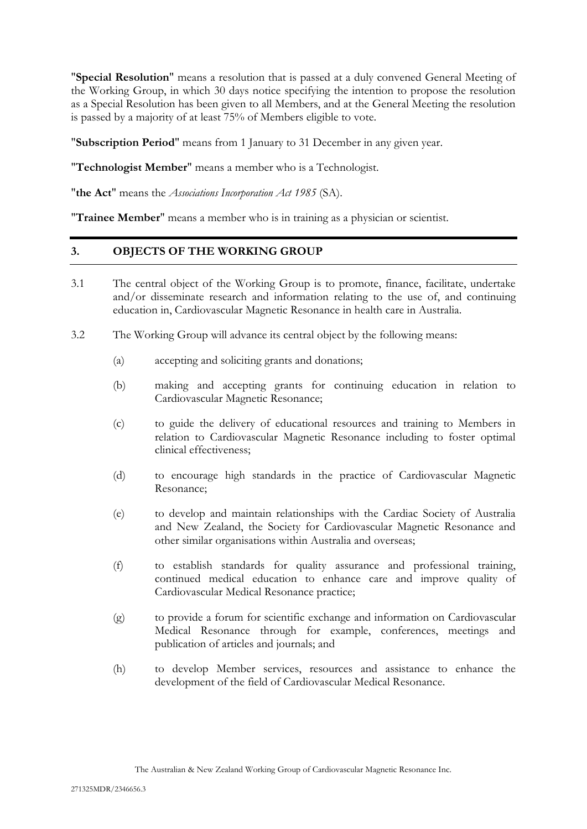"**Special Resolution**" means a resolution that is passed at a duly convened General Meeting of the Working Group, in which 30 days notice specifying the intention to propose the resolution as a Special Resolution has been given to all Members, and at the General Meeting the resolution is passed by a majority of at least 75% of Members eligible to vote.

"**Subscription Period**" means from 1 January to 31 December in any given year.

"**Technologist Member**" means a member who is a Technologist.

"**the Act**" means the *Associations Incorporation Act 1985* (SA).

<span id="page-3-0"></span>"**Trainee Member**" means a member who is in training as a physician or scientist.

# **3. OBJECTS OF THE WORKING GROUP**

- 3.1 The central object of the Working Group is to promote, finance, facilitate, undertake and/or disseminate research and information relating to the use of, and continuing education in, Cardiovascular Magnetic Resonance in health care in Australia.
- 3.2 The Working Group will advance its central object by the following means:
	- (a) accepting and soliciting grants and donations;
	- (b) making and accepting grants for continuing education in relation to Cardiovascular Magnetic Resonance;
	- (c) to guide the delivery of educational resources and training to Members in relation to Cardiovascular Magnetic Resonance including to foster optimal clinical effectiveness;
	- (d) to encourage high standards in the practice of Cardiovascular Magnetic Resonance;
	- (e) to develop and maintain relationships with the Cardiac Society of Australia and New Zealand, the Society for Cardiovascular Magnetic Resonance and other similar organisations within Australia and overseas;
	- (f) to establish standards for quality assurance and professional training, continued medical education to enhance care and improve quality of Cardiovascular Medical Resonance practice;
	- (g) to provide a forum for scientific exchange and information on Cardiovascular Medical Resonance through for example, conferences, meetings and publication of articles and journals; and
	- (h) to develop Member services, resources and assistance to enhance the development of the field of Cardiovascular Medical Resonance.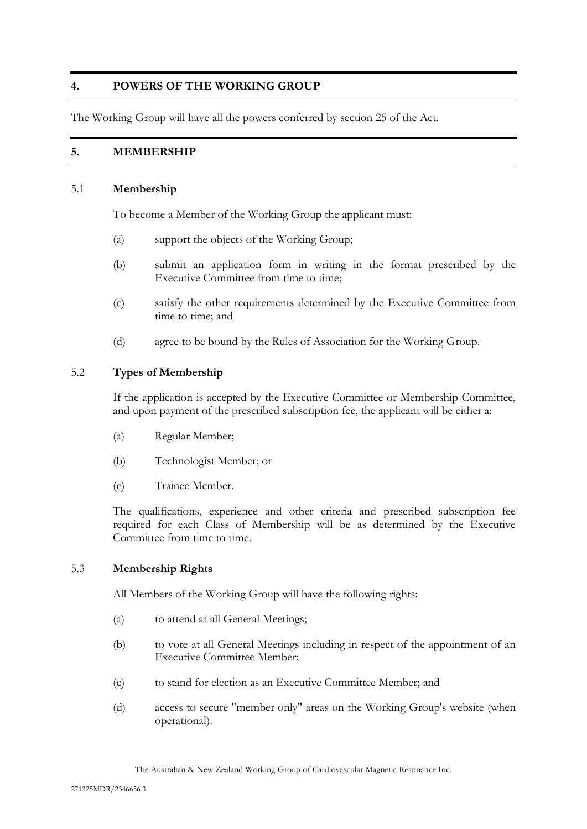# <span id="page-4-0"></span>**4. POWERS OF THE WORKING GROUP**

<span id="page-4-1"></span>The Working Group will have all the powers conferred by section 25 of the Act.

# **5. MEMBERSHIP**

#### 5.1 **Membership**

To become a Member of the Working Group the applicant must:

- (a) support the objects of the Working Group;
- (b) submit an application form in writing in the format prescribed by the Executive Committee from time to time;
- (c) satisfy the other requirements determined by the Executive Committee from time to time; and
- (d) agree to be bound by the Rules of Association for the Working Group.

#### 5.2 **Types of Membership**

If the application is accepted by the Executive Committee or Membership Committee, and upon payment of the prescribed subscription fee, the applicant will be either a:

- (a) Regular Member;
- (b) Technologist Member; or
- (c) Trainee Member.

The qualifications, experience and other criteria and prescribed subscription fee required for each Class of Membership will be as determined by the Executive Committee from time to time.

# 5.3 **Membership Rights**

All Members of the Working Group will have the following rights:

- (a) to attend at all General Meetings;
- (b) to vote at all General Meetings including in respect of the appointment of an Executive Committee Member;
- (c) to stand for election as an Executive Committee Member; and
- (d) access to secure "member only" areas on the Working Group's website (when operational).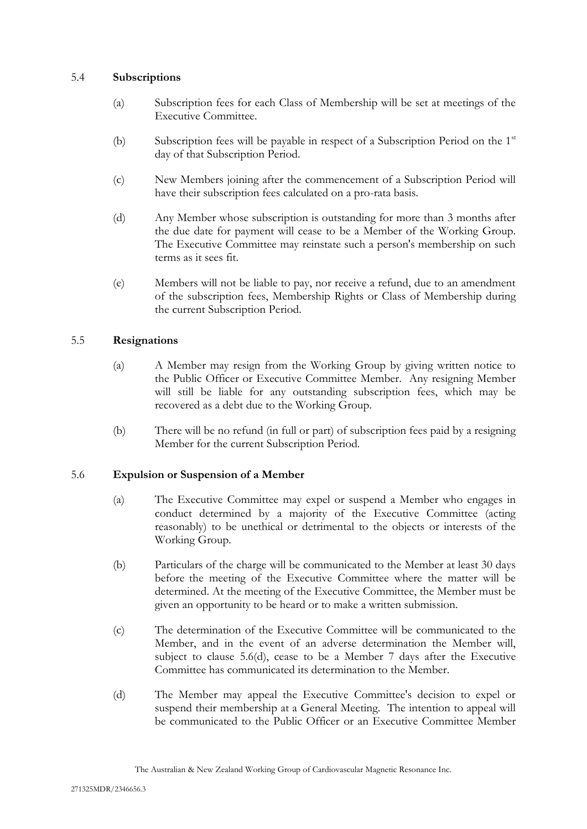### 5.4 **Subscriptions**

- (a) Subscription fees for each Class of Membership will be set at meetings of the Executive Committee.
- (b) Subscription fees will be payable in respect of a Subscription Period on the  $1<sup>st</sup>$ day of that Subscription Period.
- (c) New Members joining after the commencement of a Subscription Period will have their subscription fees calculated on a pro-rata basis.
- (d) Any Member whose subscription is outstanding for more than 3 months after the due date for payment will cease to be a Member of the Working Group. The Executive Committee may reinstate such a person's membership on such terms as it sees fit.
- (e) Members will not be liable to pay, nor receive a refund, due to an amendment of the subscription fees, Membership Rights or Class of Membership during the current Subscription Period.

# 5.5 **Resignations**

- (a) A Member may resign from the Working Group by giving written notice to the Public Officer or Executive Committee Member. Any resigning Member will still be liable for any outstanding subscription fees, which may be recovered as a debt due to the Working Group.
- (b) There will be no refund (in full or part) of subscription fees paid by a resigning Member for the current Subscription Period.

# <span id="page-5-0"></span>5.6 **Expulsion or Suspension of a Member**

- (a) The Executive Committee may expel or suspend a Member who engages in conduct determined by a majority of the Executive Committee (acting reasonably) to be unethical or detrimental to the objects or interests of the Working Group.
- (b) Particulars of the charge will be communicated to the Member at least 30 days before the meeting of the Executive Committee where the matter will be determined. At the meeting of the Executive Committee, the Member must be given an opportunity to be heard or to make a written submission.
- (c) The determination of the Executive Committee will be communicated to the Member, and in the event of an adverse determination the Member will, subject to clause [5.6\(d\),](#page-5-0) cease to be a Member 7 days after the Executive Committee has communicated its determination to the Member.
- (d) The Member may appeal the Executive Committee's decision to expel or suspend their membership at a General Meeting. The intention to appeal will be communicated to the Public Officer or an Executive Committee Member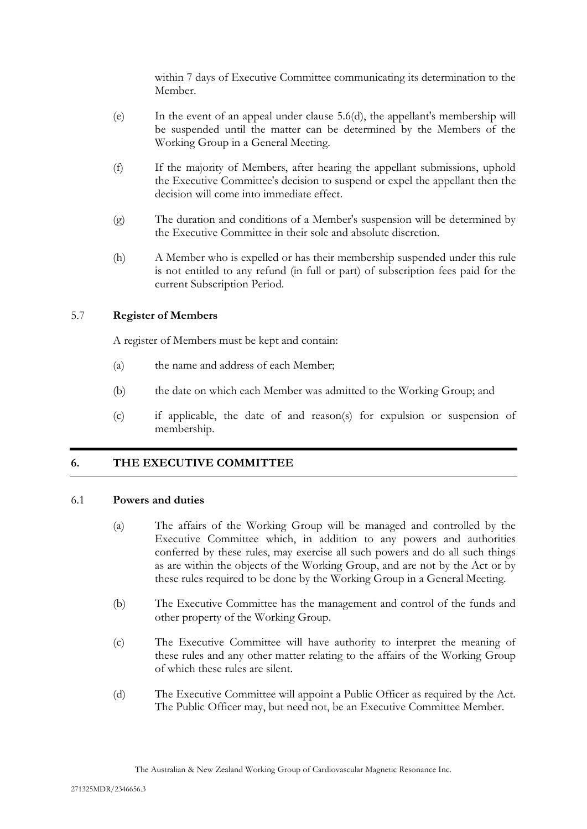within 7 days of Executive Committee communicating its determination to the Member.

- (e) In the event of an appeal under clause [5.6\(d\),](#page-5-0) the appellant's membership will be suspended until the matter can be determined by the Members of the Working Group in a General Meeting.
- (f) If the majority of Members, after hearing the appellant submissions, uphold the Executive Committee's decision to suspend or expel the appellant then the decision will come into immediate effect.
- (g) The duration and conditions of a Member's suspension will be determined by the Executive Committee in their sole and absolute discretion.
- (h) A Member who is expelled or has their membership suspended under this rule is not entitled to any refund (in full or part) of subscription fees paid for the current Subscription Period.

# 5.7 **Register of Members**

A register of Members must be kept and contain:

- (a) the name and address of each Member;
- (b) the date on which each Member was admitted to the Working Group; and
- (c) if applicable, the date of and reason(s) for expulsion or suspension of membership.

# <span id="page-6-0"></span>**6. THE EXECUTIVE COMMITTEE**

# 6.1 **Powers and duties**

- (a) The affairs of the Working Group will be managed and controlled by the Executive Committee which, in addition to any powers and authorities conferred by these rules, may exercise all such powers and do all such things as are within the objects of the Working Group, and are not by the Act or by these rules required to be done by the Working Group in a General Meeting.
- (b) The Executive Committee has the management and control of the funds and other property of the Working Group.
- (c) The Executive Committee will have authority to interpret the meaning of these rules and any other matter relating to the affairs of the Working Group of which these rules are silent.
- (d) The Executive Committee will appoint a Public Officer as required by the Act. The Public Officer may, but need not, be an Executive Committee Member.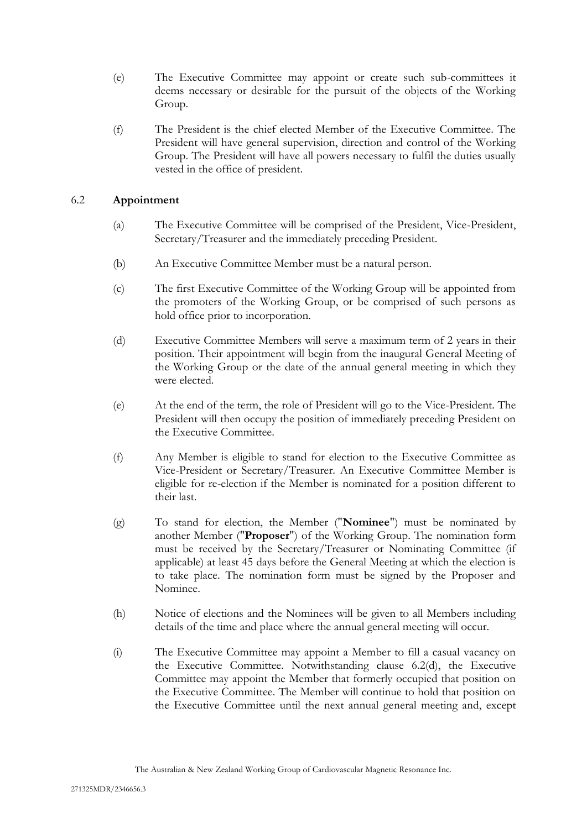- (e) The Executive Committee may appoint or create such sub-committees it deems necessary or desirable for the pursuit of the objects of the Working Group.
- (f) The President is the chief elected Member of the Executive Committee. The President will have general supervision, direction and control of the Working Group. The President will have all powers necessary to fulfil the duties usually vested in the office of president.

# 6.2 **Appointment**

- (a) The Executive Committee will be comprised of the President, Vice-President, Secretary/Treasurer and the immediately preceding President.
- (b) An Executive Committee Member must be a natural person.
- (c) The first Executive Committee of the Working Group will be appointed from the promoters of the Working Group, or be comprised of such persons as hold office prior to incorporation.
- <span id="page-7-0"></span>(d) Executive Committee Members will serve a maximum term of 2 years in their position. Their appointment will begin from the inaugural General Meeting of the Working Group or the date of the annual general meeting in which they were elected.
- (e) At the end of the term, the role of President will go to the Vice-President. The President will then occupy the position of immediately preceding President on the Executive Committee.
- (f) Any Member is eligible to stand for election to the Executive Committee as Vice-President or Secretary/Treasurer. An Executive Committee Member is eligible for re-election if the Member is nominated for a position different to their last.
- (g) To stand for election, the Member ("**Nominee**") must be nominated by another Member ("**Proposer**") of the Working Group. The nomination form must be received by the Secretary/Treasurer or Nominating Committee (if applicable) at least 45 days before the General Meeting at which the election is to take place. The nomination form must be signed by the Proposer and Nominee.
- (h) Notice of elections and the Nominees will be given to all Members including details of the time and place where the annual general meeting will occur.
- (i) The Executive Committee may appoint a Member to fill a casual vacancy on the Executive Committee. Notwithstanding clause [6.2\(d\),](#page-7-0) the Executive Committee may appoint the Member that formerly occupied that position on the Executive Committee. The Member will continue to hold that position on the Executive Committee until the next annual general meeting and, except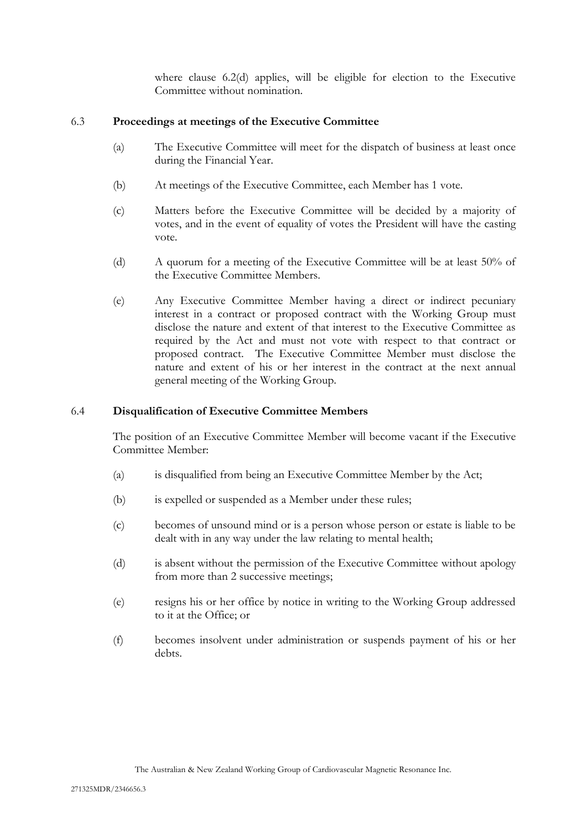where clause [6.2\(d\)](#page-7-0) applies, will be eligible for election to the Executive Committee without nomination.

# 6.3 **Proceedings at meetings of the Executive Committee**

- (a) The Executive Committee will meet for the dispatch of business at least once during the Financial Year.
- (b) At meetings of the Executive Committee, each Member has 1 vote.
- (c) Matters before the Executive Committee will be decided by a majority of votes, and in the event of equality of votes the President will have the casting vote.
- (d) A quorum for a meeting of the Executive Committee will be at least 50% of the Executive Committee Members.
- (e) Any Executive Committee Member having a direct or indirect pecuniary interest in a contract or proposed contract with the Working Group must disclose the nature and extent of that interest to the Executive Committee as required by the Act and must not vote with respect to that contract or proposed contract. The Executive Committee Member must disclose the nature and extent of his or her interest in the contract at the next annual general meeting of the Working Group.

# 6.4 **Disqualification of Executive Committee Members**

The position of an Executive Committee Member will become vacant if the Executive Committee Member:

- (a) is disqualified from being an Executive Committee Member by the Act;
- (b) is expelled or suspended as a Member under these rules;
- (c) becomes of unsound mind or is a person whose person or estate is liable to be dealt with in any way under the law relating to mental health;
- (d) is absent without the permission of the Executive Committee without apology from more than 2 successive meetings;
- (e) resigns his or her office by notice in writing to the Working Group addressed to it at the Office; or
- (f) becomes insolvent under administration or suspends payment of his or her debts.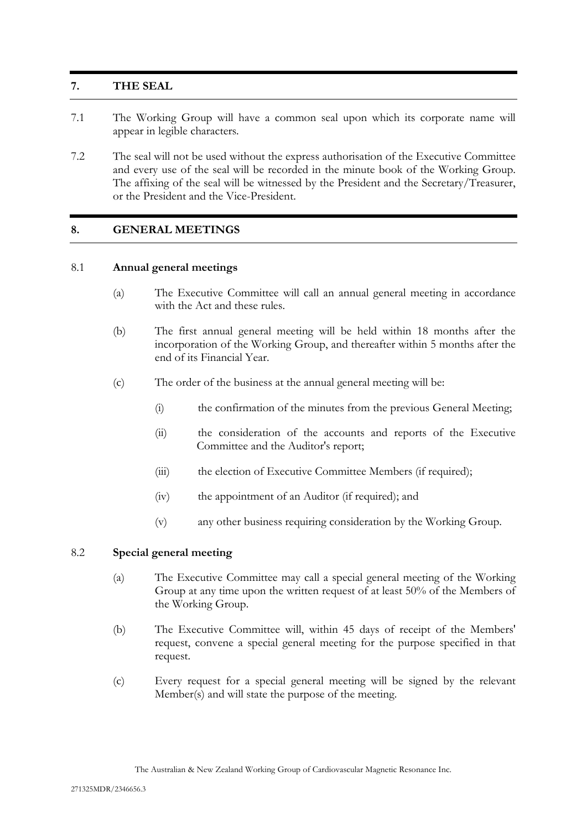# <span id="page-9-0"></span>**7. THE SEAL**

- 7.1 The Working Group will have a common seal upon which its corporate name will appear in legible characters.
- 7.2 The seal will not be used without the express authorisation of the Executive Committee and every use of the seal will be recorded in the minute book of the Working Group. The affixing of the seal will be witnessed by the President and the Secretary/Treasurer, or the President and the Vice-President.

# <span id="page-9-1"></span>**8. GENERAL MEETINGS**

#### 8.1 **Annual general meetings**

- (a) The Executive Committee will call an annual general meeting in accordance with the Act and these rules.
- (b) The first annual general meeting will be held within 18 months after the incorporation of the Working Group, and thereafter within 5 months after the end of its Financial Year.
- (c) The order of the business at the annual general meeting will be:
	- (i) the confirmation of the minutes from the previous General Meeting;
	- (ii) the consideration of the accounts and reports of the Executive Committee and the Auditor's report;
	- (iii) the election of Executive Committee Members (if required);
	- (iv) the appointment of an Auditor (if required); and
	- (v) any other business requiring consideration by the Working Group.

#### <span id="page-9-2"></span>8.2 **Special general meeting**

- (a) The Executive Committee may call a special general meeting of the Working Group at any time upon the written request of at least 50% of the Members of the Working Group.
- (b) The Executive Committee will, within 45 days of receipt of the Members' request, convene a special general meeting for the purpose specified in that request.
- (c) Every request for a special general meeting will be signed by the relevant Member(s) and will state the purpose of the meeting.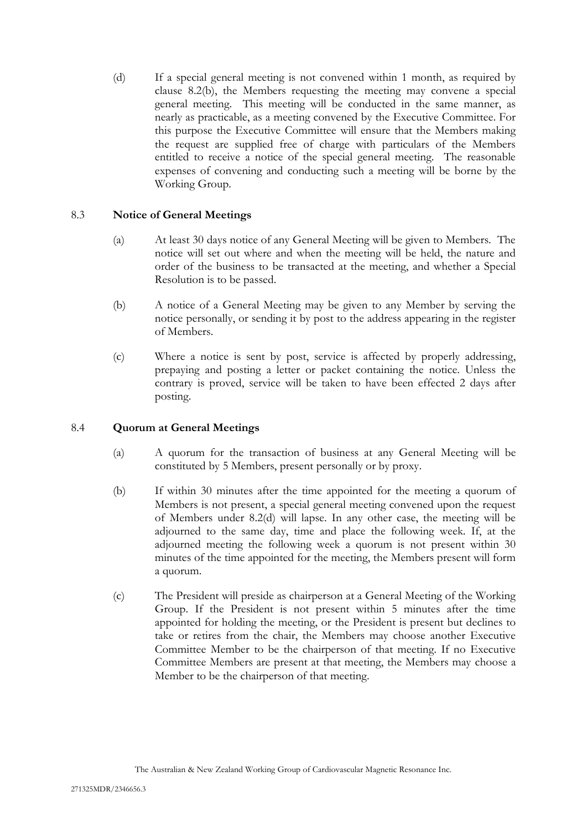<span id="page-10-0"></span>(d) If a special general meeting is not convened within 1 month, as required by clause [8.2\(b\),](#page-9-2) the Members requesting the meeting may convene a special general meeting. This meeting will be conducted in the same manner, as nearly as practicable, as a meeting convened by the Executive Committee. For this purpose the Executive Committee will ensure that the Members making the request are supplied free of charge with particulars of the Members entitled to receive a notice of the special general meeting. The reasonable expenses of convening and conducting such a meeting will be borne by the Working Group.

# 8.3 **Notice of General Meetings**

- (a) At least 30 days notice of any General Meeting will be given to Members. The notice will set out where and when the meeting will be held, the nature and order of the business to be transacted at the meeting, and whether a Special Resolution is to be passed.
- (b) A notice of a General Meeting may be given to any Member by serving the notice personally, or sending it by post to the address appearing in the register of Members.
- (c) Where a notice is sent by post, service is affected by properly addressing, prepaying and posting a letter or packet containing the notice. Unless the contrary is proved, service will be taken to have been effected 2 days after posting.

# 8.4 **Quorum at General Meetings**

- (a) A quorum for the transaction of business at any General Meeting will be constituted by 5 Members, present personally or by proxy.
- (b) If within 30 minutes after the time appointed for the meeting a quorum of Members is not present, a special general meeting convened upon the request of Members under [8.2\(d\)](#page-10-0) will lapse. In any other case, the meeting will be adjourned to the same day, time and place the following week. If, at the adjourned meeting the following week a quorum is not present within 30 minutes of the time appointed for the meeting, the Members present will form a quorum.
- (c) The President will preside as chairperson at a General Meeting of the Working Group. If the President is not present within 5 minutes after the time appointed for holding the meeting, or the President is present but declines to take or retires from the chair, the Members may choose another Executive Committee Member to be the chairperson of that meeting. If no Executive Committee Members are present at that meeting, the Members may choose a Member to be the chairperson of that meeting.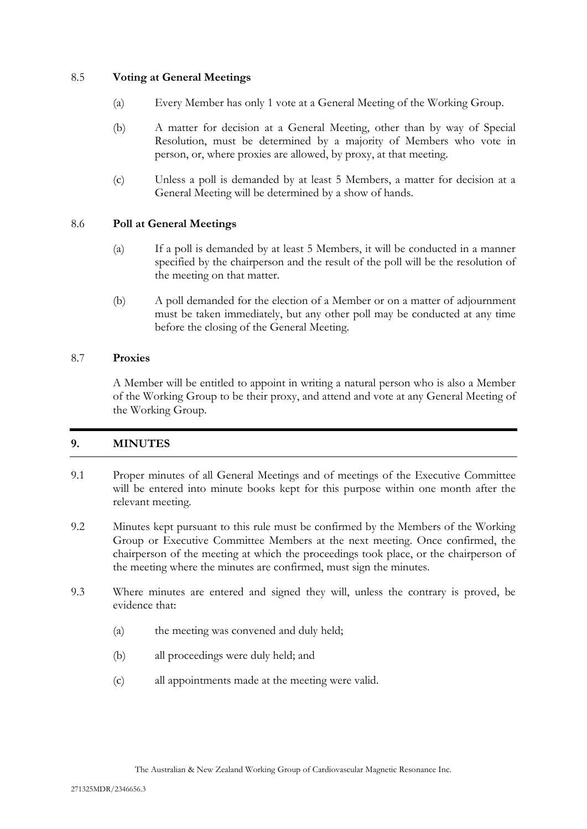# 8.5 **Voting at General Meetings**

- (a) Every Member has only 1 vote at a General Meeting of the Working Group.
- (b) A matter for decision at a General Meeting, other than by way of Special Resolution, must be determined by a majority of Members who vote in person, or, where proxies are allowed, by proxy, at that meeting.
- (c) Unless a poll is demanded by at least 5 Members, a matter for decision at a General Meeting will be determined by a show of hands.

# 8.6 **Poll at General Meetings**

- (a) If a poll is demanded by at least 5 Members, it will be conducted in a manner specified by the chairperson and the result of the poll will be the resolution of the meeting on that matter.
- (b) A poll demanded for the election of a Member or on a matter of adjournment must be taken immediately, but any other poll may be conducted at any time before the closing of the General Meeting.

# 8.7 **Proxies**

A Member will be entitled to appoint in writing a natural person who is also a Member of the Working Group to be their proxy, and attend and vote at any General Meeting of the Working Group.

# <span id="page-11-0"></span>**9. MINUTES**

- 9.1 Proper minutes of all General Meetings and of meetings of the Executive Committee will be entered into minute books kept for this purpose within one month after the relevant meeting.
- 9.2 Minutes kept pursuant to this rule must be confirmed by the Members of the Working Group or Executive Committee Members at the next meeting. Once confirmed, the chairperson of the meeting at which the proceedings took place, or the chairperson of the meeting where the minutes are confirmed, must sign the minutes.
- 9.3 Where minutes are entered and signed they will, unless the contrary is proved, be evidence that:
	- (a) the meeting was convened and duly held;
	- (b) all proceedings were duly held; and
	- (c) all appointments made at the meeting were valid.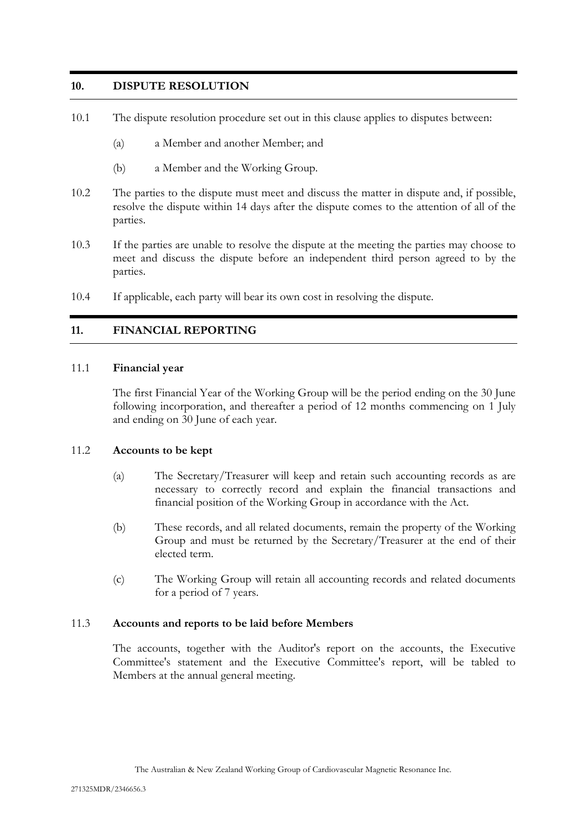# <span id="page-12-0"></span>**10. DISPUTE RESOLUTION**

- 10.1 The dispute resolution procedure set out in this clause applies to disputes between:
	- (a) a Member and another Member; and
	- (b) a Member and the Working Group.
- 10.2 The parties to the dispute must meet and discuss the matter in dispute and, if possible, resolve the dispute within 14 days after the dispute comes to the attention of all of the parties.
- 10.3 If the parties are unable to resolve the dispute at the meeting the parties may choose to meet and discuss the dispute before an independent third person agreed to by the parties.
- <span id="page-12-1"></span>10.4 If applicable, each party will bear its own cost in resolving the dispute.

# **11. FINANCIAL REPORTING**

#### <span id="page-12-2"></span>11.1 **Financial year**

The first Financial Year of the Working Group will be the period ending on the 30 June following incorporation, and thereafter a period of 12 months commencing on 1 July and ending on 30 June of each year.

#### 11.2 **Accounts to be kept**

- (a) The Secretary/Treasurer will keep and retain such accounting records as are necessary to correctly record and explain the financial transactions and financial position of the Working Group in accordance with the Act.
- (b) These records, and all related documents, remain the property of the Working Group and must be returned by the Secretary/Treasurer at the end of their elected term.
- (c) The Working Group will retain all accounting records and related documents for a period of 7 years.

#### 11.3 **Accounts and reports to be laid before Members**

The accounts, together with the Auditor's report on the accounts, the Executive Committee's statement and the Executive Committee's report, will be tabled to Members at the annual general meeting.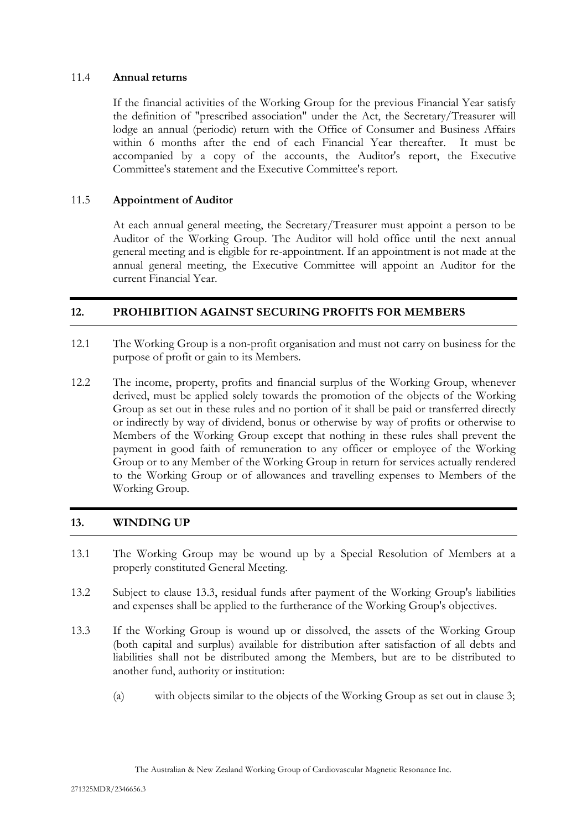### 11.4 **Annual returns**

If the financial activities of the Working Group for the previous Financial Year satisfy the definition of "prescribed association" under the Act, the Secretary/Treasurer will lodge an annual (periodic) return with the Office of Consumer and Business Affairs within 6 months after the end of each Financial Year thereafter. It must be accompanied by a copy of the accounts, the Auditor's report, the Executive Committee's statement and the Executive Committee's report.

# 11.5 **Appointment of Auditor**

At each annual general meeting, the Secretary/Treasurer must appoint a person to be Auditor of the Working Group. The Auditor will hold office until the next annual general meeting and is eligible for re-appointment. If an appointment is not made at the annual general meeting, the Executive Committee will appoint an Auditor for the current Financial Year.

# <span id="page-13-0"></span>**12. PROHIBITION AGAINST SECURING PROFITS FOR MEMBERS**

- 12.1 The Working Group is a non-profit organisation and must not carry on business for the purpose of profit or gain to its Members.
- 12.2 The income, property, profits and financial surplus of the Working Group, whenever derived, must be applied solely towards the promotion of the objects of the Working Group as set out in these rules and no portion of it shall be paid or transferred directly or indirectly by way of dividend, bonus or otherwise by way of profits or otherwise to Members of the Working Group except that nothing in these rules shall prevent the payment in good faith of remuneration to any officer or employee of the Working Group or to any Member of the Working Group in return for services actually rendered to the Working Group or of allowances and travelling expenses to Members of the Working Group.

# <span id="page-13-1"></span>**13. WINDING UP**

- 13.1 The Working Group may be wound up by a Special Resolution of Members at a properly constituted General Meeting.
- 13.2 Subject to clause [13.3,](#page-13-2) residual funds after payment of the Working Group's liabilities and expenses shall be applied to the furtherance of the Working Group's objectives.
- <span id="page-13-2"></span>13.3 If the Working Group is wound up or dissolved, the assets of the Working Group (both capital and surplus) available for distribution after satisfaction of all debts and liabilities shall not be distributed among the Members, but are to be distributed to another fund, authority or institution:
	- (a) with objects similar to the objects of the Working Group as set out in clause 3;